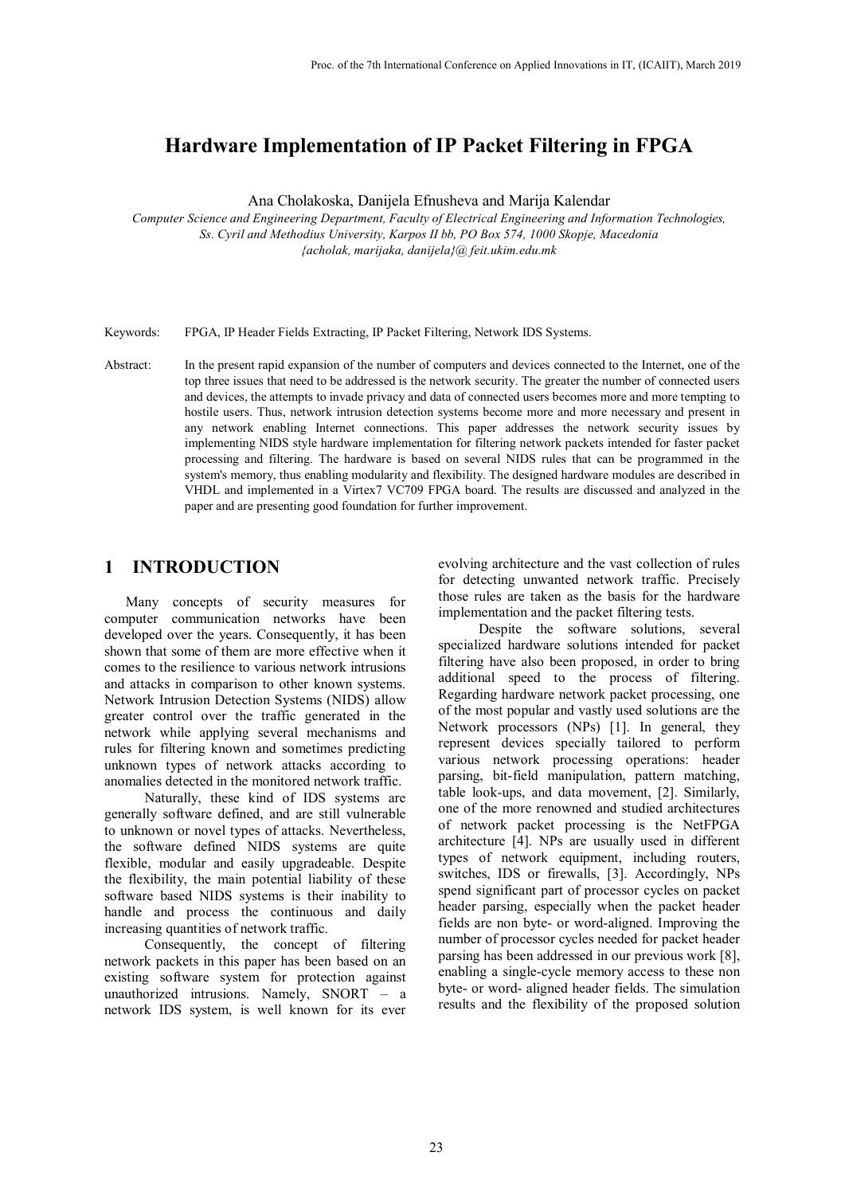# **Hardware Implementation of IP Packet Filtering in FPGA**

Ana Cholakoska, Danijela Efnusheva and Marija Kalendar

*Computer Science and Engineering Department, Faculty of Electrical Engineering and Information Technologies, Ss. Cyril and Methodius University, Karpos II bb, PO Box 574, 1000 Skopje, Macedonia {acholak, marijaka, danijela}@ feit.ukim.edu.mk* 

Keywords: FPGA, IP Header Fields Extracting, IP Packet Filtering, Network IDS Systems.

Abstract: In the present rapid expansion of the number of computers and devices connected to the Internet, one of the top three issues that need to be addressed is the network security. The greater the number of connected users and devices, the attempts to invade privacy and data of connected users becomes more and more tempting to hostile users. Thus, network intrusion detection systems become more and more necessary and present in any network enabling Internet connections. This paper addresses the network security issues by implementing NIDS style hardware implementation for filtering network packets intended for faster packet processing and filtering. The hardware is based on several NIDS rules that can be programmed in the system's memory, thus enabling modularity and flexibility. The designed hardware modules are described in VHDL and implemented in a Virtex7 VC709 FPGA board. The results are discussed and analyzed in the paper and are presenting good foundation for further improvement.

### **1 INTRODUCTION**

Many concepts of security measures for computer communication networks have been developed over the years. Consequently, it has been shown that some of them are more effective when it comes to the resilience to various network intrusions and attacks in comparison to other known systems. Network Intrusion Detection Systems (NIDS) allow greater control over the traffic generated in the network while applying several mechanisms and rules for filtering known and sometimes predicting unknown types of network attacks according to anomalies detected in the monitored network traffic.

Naturally, these kind of IDS systems are generally software defined, and are still vulnerable to unknown or novel types of attacks. Nevertheless, the software defined NIDS systems are quite flexible, modular and easily upgradeable. Despite the flexibility, the main potential liability of these software based NIDS systems is their inability to handle and process the continuous and daily increasing quantities of network traffic.

Consequently, the concept of filtering network packets in this paper has been based on an existing software system for protection against unauthorized intrusions. Namely, SNORT – a network IDS system, is well known for its ever

evolving architecture and the vast collection of rules for detecting unwanted network traffic. Precisely those rules are taken as the basis for the hardware implementation and the packet filtering tests.

Despite the software solutions, several specialized hardware solutions intended for packet filtering have also been proposed, in order to bring additional speed to the process of filtering. Regarding hardware network packet processing, one of the most popular and vastly used solutions are the Network processors (NPs) [\[1\].](#page--1-0) In general, they represent devices specially tailored to perform various network processing operations: header parsing, bit-field manipulation, pattern matching, table look-ups, and data movement, [\[2\].](#page--1-1) Similarly, one of the more renowned and studied architectures of network packet processing is the NetFPGA architecture [\[4\].](#page--1-2) NPs are usually used in different types of network equipment, including routers, switches, IDS or firewalls, [\[3\].](#page--1-3) Accordingly, NPs spend significant part of processor cycles on packet header parsing, especially when the packet header fields are non byte- or word-aligned. Improving the number of processor cycles needed for packet header parsing has been addressed in our previous work [\[8\],](#page--1-4) enabling a single-cycle memory access to these non byte- or word- aligned header fields. The simulation results and the flexibility of the proposed solution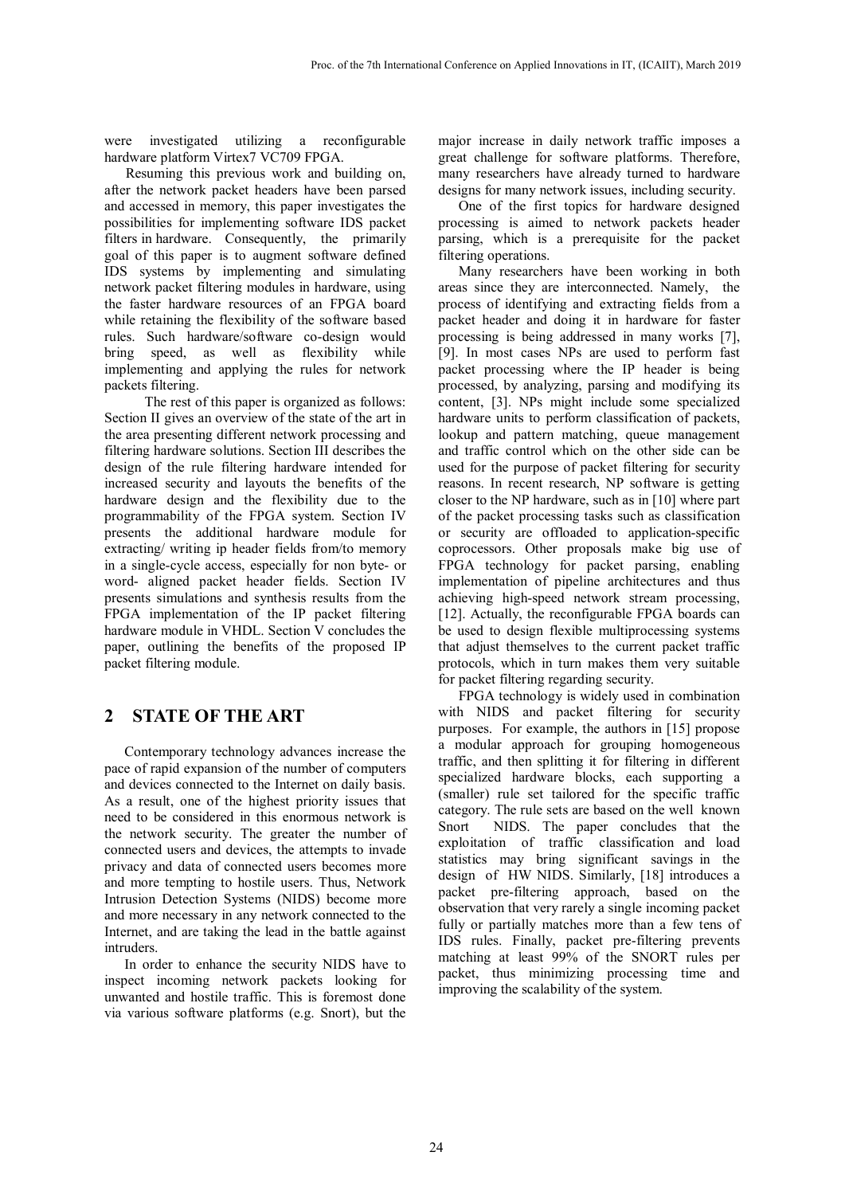were investigated utilizing a reconfigurable hardware platform Virtex7 VC709 FPGA.

Resuming this previous work and building on, after the network packet headers have been parsed and accessed in memory, this paper investigates the possibilities for implementing software IDS packet filters in hardware. Consequently, the primarily goal of this paper is to augment software defined IDS systems by implementing and simulating network packet filtering modules in hardware, using the faster hardware resources of an FPGA board while retaining the flexibility of the software based rules. Such hardware/software co-design would bring speed, as well as flexibility while implementing and applying the rules for network packets filtering.

The rest of this paper is organized as follows: Section II gives an overview of the state of the art in the area presenting different network processing and filtering hardware solutions. Section III describes the design of the rule filtering hardware intended for increased security and layouts the benefits of the hardware design and the flexibility due to the programmability of the FPGA system. Section IV presents the additional hardware module for extracting/ writing ip header fields from/to memory in a single-cycle access, especially for non byte- or word- aligned packet header fields. Section IV presents simulations and synthesis results from the FPGA implementation of the IP packet filtering hardware module in VHDL. Section V concludes the paper, outlining the benefits of the proposed IP packet filtering module.

### **2 STATE OF THE ART**

Contemporary technology advances increase the pace of rapid expansion of the number of computers and devices connected to the Internet on daily basis. As a result, one of the highest priority issues that need to be considered in this enormous network is the network security. The greater the number of connected users and devices, the attempts to invade privacy and data of connected users becomes more and more tempting to hostile users. Thus, Network Intrusion Detection Systems (NIDS) become more and more necessary in any network connected to the Internet, and are taking the lead in the battle against intruders.

In order to enhance the security NIDS have to inspect incoming network packets looking for unwanted and hostile traffic. This is foremost done via various software platforms (e.g. Snort), but the

major increase in daily network traffic imposes a great challenge for software platforms. Therefore, many researchers have already turned to hardware designs for many network issues, including security.

One of the first topics for hardware designed processing is aimed to network packets header parsing, which is a prerequisite for the packet filtering operations.

Many researchers have been working in both areas since they are interconnected. Namely, the process of identifying and extracting fields from a packet header and doing it in hardware for faster processing is being addressed in many works [\[7\],](#page--1-5) [\[9\].](#page--1-6) In most cases NPs are used to perform fast packet processing where the IP header is being processed, by analyzing, parsing and modifying its content, [\[3\].](#page--1-3) NPs might include some specialized hardware units to perform classification of packets, lookup and pattern matching, queue management and traffic control which on the other side can be used for the purpose of packet filtering for security reasons. In recent research, NP software is getting closer to the NP hardware, such as in [\[10\]](#page--1-7) where part of the packet processing tasks such as classification or security are offloaded to application-specific coprocessors. Other proposals make big use of FPGA technology for packet parsing, enabling implementation of pipeline architectures and thus achieving high-speed network stream processing, [\[12\].](#page--1-8) Actually, the reconfigurable FPGA boards can be used to design flexible multiprocessing systems that adjust themselves to the current packet traffic protocols, which in turn makes them very suitable for packet filtering regarding security.

FPGA technology is widely used in combination with NIDS and packet filtering for security purposes. For example, the authors in [\[15\]](#page--1-9) propose a modular approach for grouping homogeneous traffic, and then splitting it for filtering in different specialized hardware blocks, each supporting a (smaller) rule set tailored for the specific traffic category. The rule sets are based on the well known Snort NIDS. The paper concludes that the exploitation of traffic classification and load statistics may bring significant savings in the design of HW NIDS. Similarly, [\[18\]](#page--1-10) introduces a packet pre-filtering approach, based on the observation that very rarely a single incoming packet fully or partially matches more than a few tens of IDS rules. Finally, packet pre-filtering prevents matching at least 99% of the SNORT rules per packet, thus minimizing processing time and improving the scalability of the system.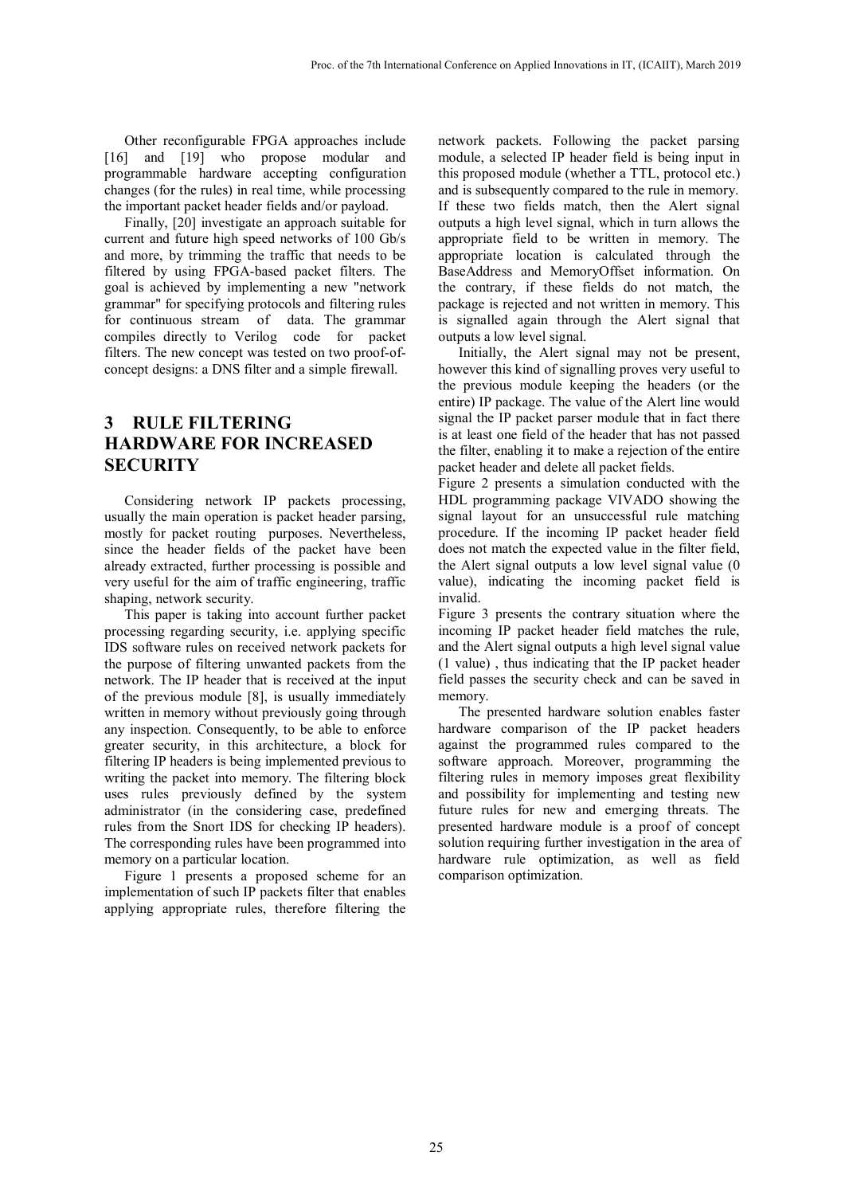Other reconfigurable FPGA approaches include [\[16\]](#page--1-11) and [\[19\]](#page--1-12) who propose modular and programmable hardware accepting configuration changes (for the rules) in real time, while processing the important packet header fields and/or payload.

Finally, [\[20\]](#page--1-13) investigate an approach suitable for current and future high speed networks of 100 Gb/s and more, by trimming the traffic that needs to be filtered by using FPGA-based packet filters. The goal is achieved by implementing a new "network grammar" for specifying protocols and filtering rules for continuous stream of data. The grammar compiles directly to Verilog code for packet filters. The new concept was tested on two proof-ofconcept designs: a DNS filter and a simple firewall.

## **3 RULE FILTERING HARDWARE FOR INCREASED SECURITY**

Considering network IP packets processing, usually the main operation is packet header parsing, mostly for packet routing purposes. Nevertheless, since the header fields of the packet have been already extracted, further processing is possible and very useful for the aim of traffic engineering, traffic shaping, network security.

This paper is taking into account further packet processing regarding security, i.e. applying specific IDS software rules on received network packets for the purpose of filtering unwanted packets from the network. The IP header that is received at the input of the previous module [\[8\],](#page--1-4) is usually immediately written in memory without previously going through any inspection. Consequently, to be able to enforce greater security, in this architecture, a block for filtering IP headers is being implemented previous to writing the packet into memory. The filtering block uses rules previously defined by the system administrator (in the considering case, predefined rules from the Snort IDS for checking IP headers). The corresponding rules have been programmed into memory on a particular location.

Figure 1 presents a proposed scheme for an implementation of such IP packets filter that enables applying appropriate rules, therefore filtering the

network packets. Following the packet parsing module, a selected IP header field is being input in this proposed module (whether a TTL, protocol etc.) and is subsequently compared to the rule in memory. If these two fields match, then the Alert signal outputs a high level signal, which in turn allows the appropriate field to be written in memory. The appropriate location is calculated through the BaseAddress and MemoryOffset information. On the contrary, if these fields do not match, the package is rejected and not written in memory. This is signalled again through the Alert signal that outputs a low level signal.

Initially, the Alert signal may not be present, however this kind of signalling proves very useful to the previous module keeping the headers (or the entire) IP package. The value of the Alert line would signal the IP packet parser module that in fact there is at least one field of the header that has not passed the filter, enabling it to make a rejection of the entire packet header and delete all packet fields.

Figure 2 presents a simulation conducted with the HDL programming package VIVADO showing the signal layout for an unsuccessful rule matching procedure. If the incoming IP packet header field does not match the expected value in the filter field, the Alert signal outputs a low level signal value (0 value), indicating the incoming packet field is invalid.

Figure 3 presents the contrary situation where the incoming IP packet header field matches the rule, and the Alert signal outputs a high level signal value (1 value) , thus indicating that the IP packet header field passes the security check and can be saved in memory.

The presented hardware solution enables faster hardware comparison of the IP packet headers against the programmed rules compared to the software approach. Moreover, programming the filtering rules in memory imposes great flexibility and possibility for implementing and testing new future rules for new and emerging threats. The presented hardware module is a proof of concept solution requiring further investigation in the area of hardware rule optimization, as well as field comparison optimization.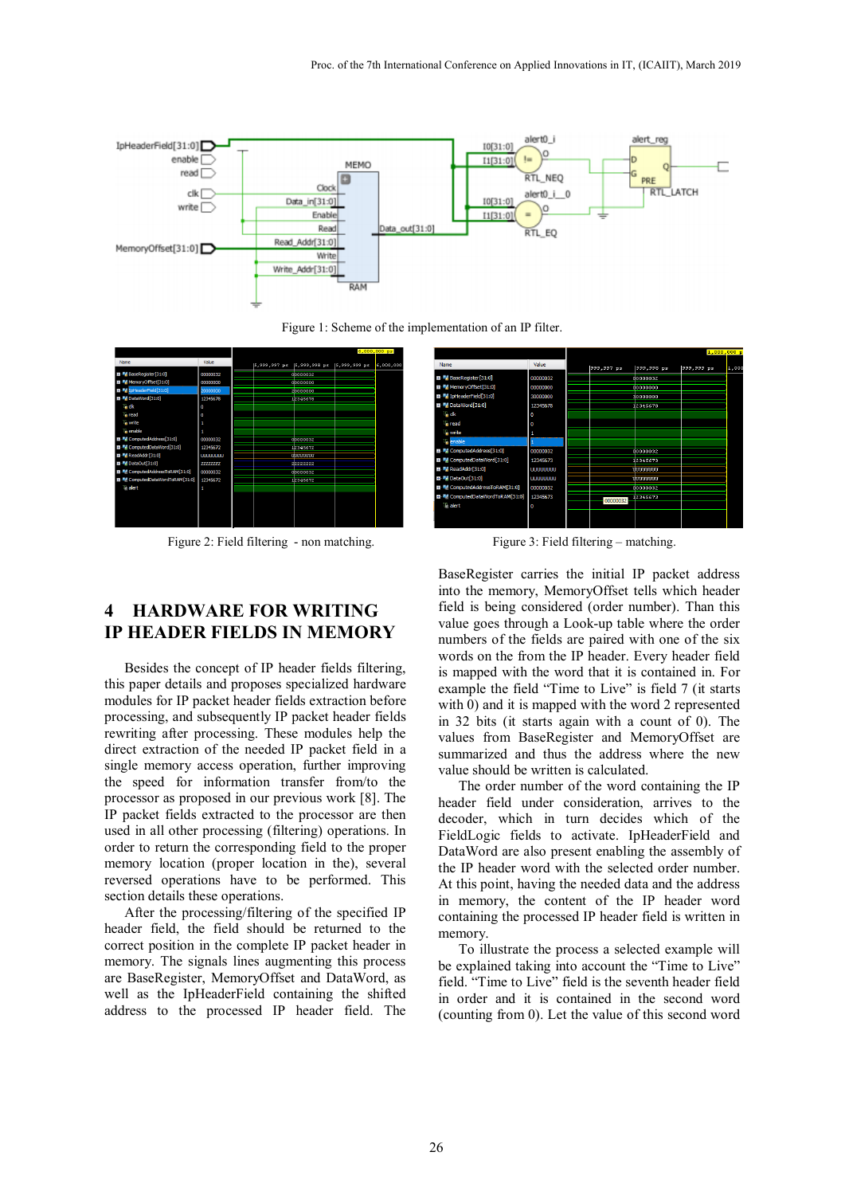

Figure 1: Scheme of the implementation of an IP filter.



Figure 2: Field filtering - non matching.<br>Figure 3: Field filtering – matching.



## **4 HARDWARE FOR WRITING IP HEADER FIELDS IN MEMORY**

Besides the concept of IP header fields filtering, this paper details and proposes specialized hardware modules for IP packet header fields extraction before processing, and subsequently IP packet header fields rewriting after processing. These modules help the direct extraction of the needed IP packet field in a single memory access operation, further improving the speed for information transfer from/to the processor as proposed in our previous work [\[8\].](#page--1-4) The IP packet fields extracted to the processor are then used in all other processing (filtering) operations. In order to return the corresponding field to the proper memory location (proper location in the), several reversed operations have to be performed. This section details these operations.

After the processing/filtering of the specified IP header field, the field should be returned to the correct position in the complete IP packet header in memory. The signals lines augmenting this process are BaseRegister, MemoryOffset and DataWord, as well as the IpHeaderField containing the shifted address to the processed IP header field. The

BaseRegister carries the initial IP packet address into the memory, MemoryOffset tells which header field is being considered (order number). Than this value goes through a Look-up table where the order numbers of the fields are paired with one of the six words on the from the IP header. Every header field is mapped with the word that it is contained in. For example the field "Time to Live" is field 7 (it starts with 0) and it is mapped with the word 2 represented in 32 bits (it starts again with a count of 0). The values from BaseRegister and MemoryOffset are summarized and thus the address where the new value should be written is calculated.

The order number of the word containing the IP header field under consideration, arrives to the decoder, which in turn decides which of the FieldLogic fields to activate. IpHeaderField and DataWord are also present enabling the assembly of the IP header word with the selected order number. At this point, having the needed data and the address in memory, the content of the IP header word containing the processed IP header field is written in memory.

To illustrate the process a selected example will be explained taking into account the "Time to Live" field. "Time to Live" field is the seventh header field in order and it is contained in the second word (counting from 0). Let the value of this second word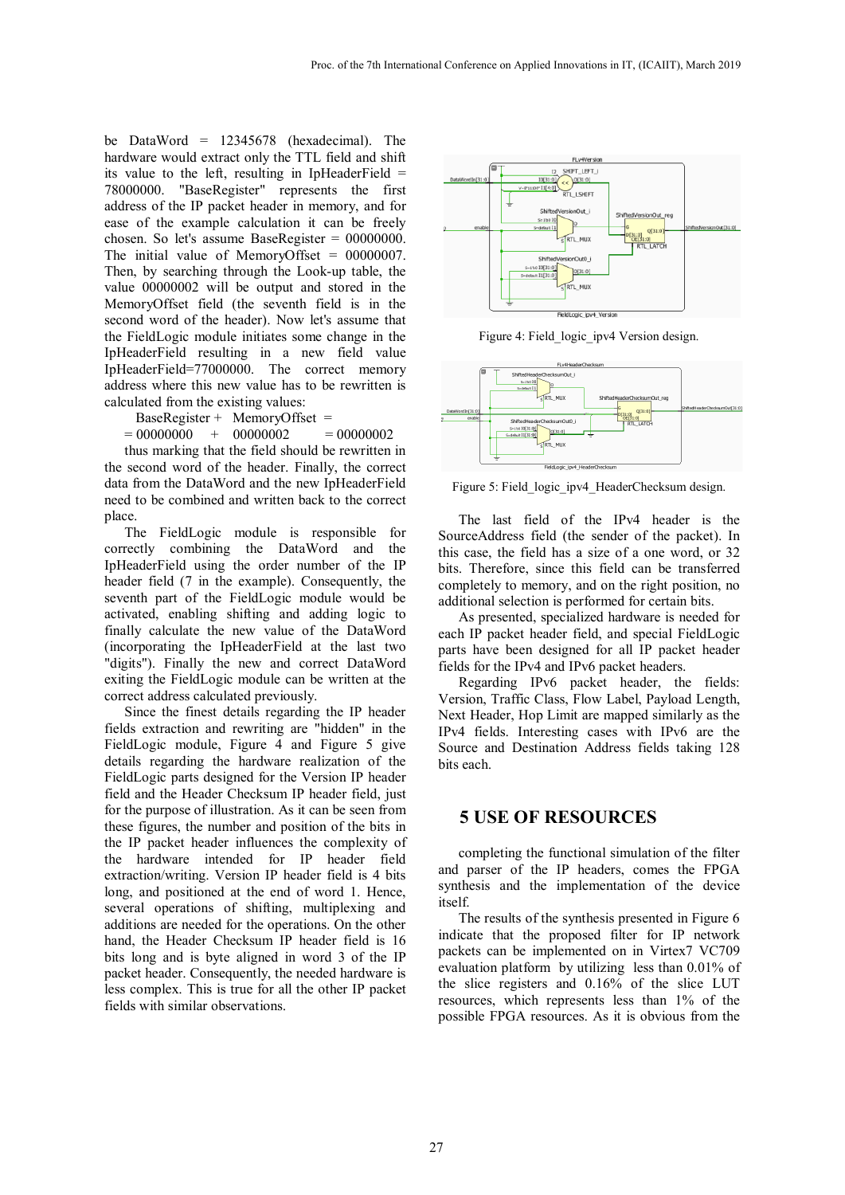be DataWord = 12345678 (hexadecimal). The hardware would extract only the TTL field and shift its value to the left, resulting in IpHeaderField = 78000000. "BaseRegister" represents the first address of the IP packet header in memory, and for ease of the example calculation it can be freely chosen. So let's assume BaseRegister = 00000000. The initial value of MemoryOffset = 00000007. Then, by searching through the Look-up table, the value 00000002 will be output and stored in the MemoryOffset field (the seventh field is in the second word of the header). Now let's assume that the FieldLogic module initiates some change in the IpHeaderField resulting in a new field value IpHeaderField=77000000. The correct memory address where this new value has to be rewritten is calculated from the existing values:

BaseRegister + MemoryOffset =

 $= 000000000 + 000000002 = 000000002$ 

thus marking that the field should be rewritten in the second word of the header. Finally, the correct data from the DataWord and the new IpHeaderField need to be combined and written back to the correct place.

The FieldLogic module is responsible for correctly combining the DataWord and the IpHeaderField using the order number of the IP header field (7 in the example). Consequently, the seventh part of the FieldLogic module would be activated, enabling shifting and adding logic to finally calculate the new value of the DataWord (incorporating the IpHeaderField at the last two "digits"). Finally the new and correct DataWord exiting the FieldLogic module can be written at the correct address calculated previously.

Since the finest details regarding the IP header fields extraction and rewriting are "hidden" in the FieldLogic module, Figure 4 and Figure 5 give details regarding the hardware realization of the FieldLogic parts designed for the Version IP header field and the Header Checksum IP header field, just for the purpose of illustration. As it can be seen from these figures, the number and position of the bits in the IP packet header influences the complexity of the hardware intended for IP header field extraction/writing. Version IP header field is 4 bits long, and positioned at the end of word 1. Hence, several operations of shifting, multiplexing and additions are needed for the operations. On the other hand, the Header Checksum IP header field is 16 bits long and is byte aligned in word 3 of the IP packet header. Consequently, the needed hardware is less complex. This is true for all the other IP packet fields with similar observations.



Figure 4: Field logic ipv4 Version design.



Figure 5: Field\_logic\_ipv4\_HeaderChecksum design.

The last field of the IPv4 header is the SourceAddress field (the sender of the packet). In this case, the field has a size of a one word, or 32 bits. Therefore, since this field can be transferred completely to memory, and on the right position, no additional selection is performed for certain bits.

As presented, specialized hardware is needed for each IP packet header field, and special FieldLogic parts have been designed for all IP packet header fields for the IPv4 and IPv6 packet headers.

Regarding IPv6 packet header, the fields: Version, Traffic Class, Flow Label, Payload Length, Next Header, Hop Limit are mapped similarly as the IPv4 fields. Interesting cases with IPv6 are the Source and Destination Address fields taking 128 bits each.

#### **5 USE OF RESOURCES**

completing the functional simulation of the filter and parser of the IP headers, comes the FPGA synthesis and the implementation of the device itself.

The results of the synthesis presented in Figure 6 indicate that the proposed filter for IP network packets can be implemented on in Virtex7 VC709 evaluation platform by utilizing less than 0.01% of the slice registers and 0.16% of the slice LUT resources, which represents less than 1% of the possible FPGA resources. As it is obvious from the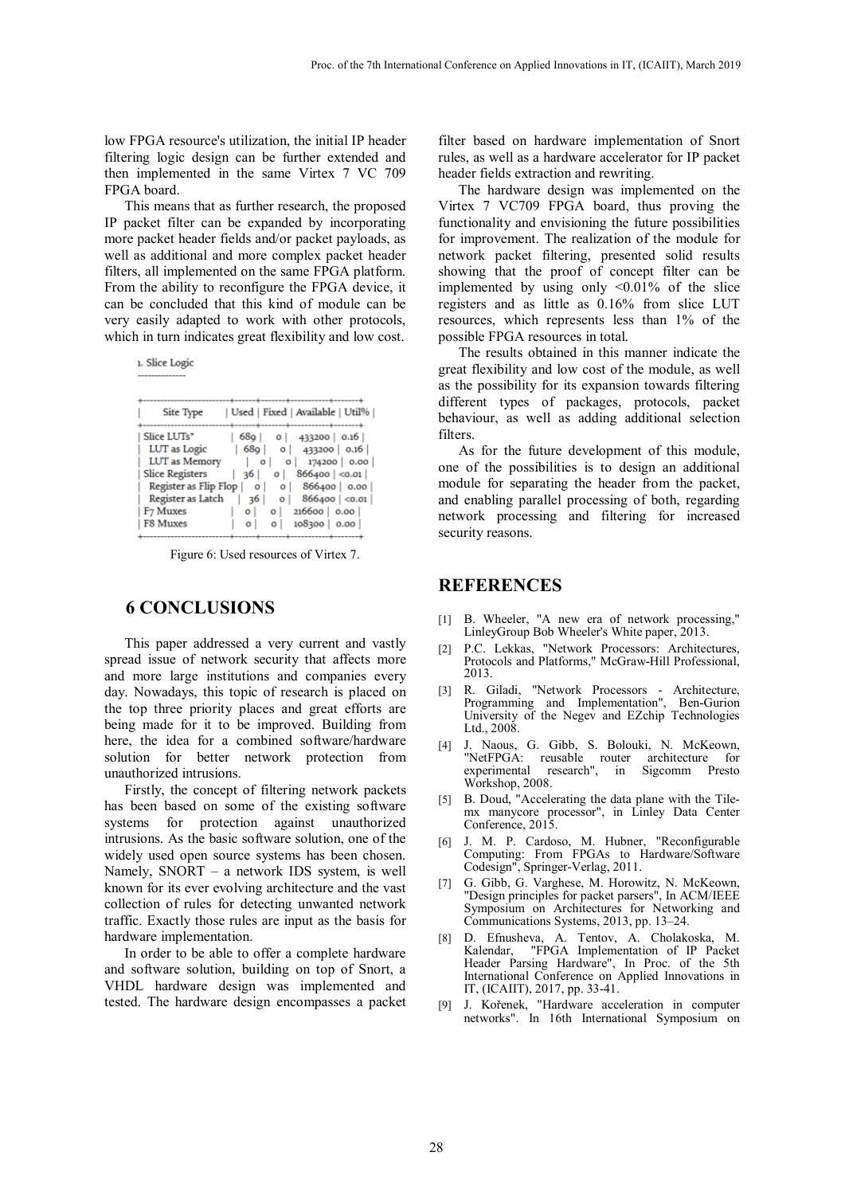low FPGA resource's utilization, the initial IP header filtering logic design can be further extended and then implemented in the same Virtex 7 VC 709 FPGA board.

This means that as further research, the proposed IP packet filter can be expanded by incorporating more packet header fields and/or packet payloads, as well as additional and more complex packet header filters, all implemented on the same FPGA platform. From the ability to reconfigure the FPGA device, it can be concluded that this kind of module can be very easily adapted to work with other protocols, which in turn indicates great flexibility and low cost.

| 1. Slice Logic                                         |
|--------------------------------------------------------|
|                                                        |
|                                                        |
|                                                        |
| Used   Fixed   Available   Util%<br>Site Type          |
| -------------------------                              |
| Slice LUTs"<br>68o l<br>433200   0.16  <br>o١          |
| LUT as Logic<br>68o<br>433200 0.16<br>οI               |
| LUT as Memory<br>174200 0.00<br>o<br>o                 |
| <b>Slice Registers</b><br>866400  < 0.01 <br>36 I<br>o |
| Register as Flip Flop<br>866400 0.00<br>٥<br>ο         |
| Register as Latch<br>866400  < 0.01<br>36              |
| F7 Muxes<br>216600   0.00  <br>o١<br>Ō                 |
| F8 Muxes<br>108300<br>0.00<br>o                        |
|                                                        |

Figure 6: Used resources of Virtex 7.

### **6 CONCLUSIONS**

This paper addressed a very current and vastly spread issue of network security that affects more and more large institutions and companies every day. Nowadays, this topic of research is placed on the top three priority places and great efforts are being made for it to be improved. Building from here, the idea for a combined software/hardware solution for better network protection from unauthorized intrusions.

Firstly, the concept of filtering network packets has been based on some of the existing software systems for protection against unauthorized intrusions. As the basic software solution, one of the widely used open source systems has been chosen. Namely, SNORT – a network IDS system, is well known for its ever evolving architecture and the vast collection of rules for detecting unwanted network traffic. Exactly those rules are input as the basis for hardware implementation.

In order to be able to offer a complete hardware and software solution, building on top of Snort, a VHDL hardware design was implemented and tested. The hardware design encompasses a packet

filter based on hardware implementation of Snort rules, as well as a hardware accelerator for IP packet header fields extraction and rewriting.

The hardware design was implemented on the Virtex 7 VC709 FPGA board, thus proving the functionality and envisioning the future possibilities for improvement. The realization of the module for network packet filtering, presented solid results showing that the proof of concept filter can be implemented by using only <0.01% of the slice registers and as little as 0.16% from slice LUT resources, which represents less than 1% of the possible FPGA resources in total.

The results obtained in this manner indicate the great flexibility and low cost of the module, as well as the possibility for its expansion towards filtering different types of packages, protocols, packet behaviour, as well as adding additional selection filters.

As for the future development of this module, one of the possibilities is to design an additional module for separating the header from the packet, and enabling parallel processing of both, regarding network processing and filtering for increased security reasons.

### **REFERENCES**

- [1] B. Wheeler, "A new era of network processing," LinleyGroup Bob Wheeler's White paper, 2013.
- [2] P.C. Lekkas, "Network Processors: Architectures, Protocols and Platforms," McGraw-Hill Professional, 2013.
- [3] R. Giladi, "Network Processors Architecture, Programming and Implementation", Ben-Gurion University of the Negev and EZchip Technologies Ltd., 2008.
- [4] J. Naous, G. Gibb, S. Bolouki, N. McKeown, "NetFPGA: reusable router architecture for experimental research", in Sigcomm Presto Workshop, 2008.
- [5] B. Doud, "Accelerating the data plane with the Tilemx manycore processor", in Linley Data Center Conference, 2015.
- [6] J. M. P. Cardoso, M. Hubner, "Reconfigurable Computing: From FPGAs to Hardware/Software Codesign", Springer-Verlag, 2011.
- [7] G. Gibb, G. Varghese, M. Horowitz, N. McKeown, "Design principles for packet parsers", In ACM/IEEE Symposium on Architectures for Networking and Communications Systems, 2013, pp. 13–24.
- [8] D. Efnusheva, A. Tentov, A. Cholakoska, M. Kalendar, "FPGA Implementation of IP Packet Header Parsing Hardware", In Proc. of the 5th International Conference on Applied Innovations in IT, (ICAIIT), 2017, pp. 33-41.
- [9] J. Kořenek, "Hardware acceleration in computer networks". In 16th International Symposium on